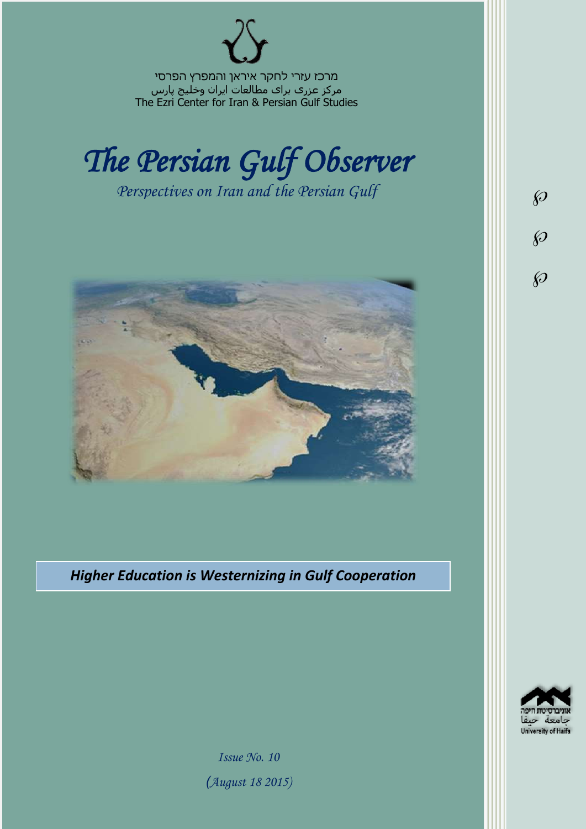מרכז עזרי לחקר איראן והמפרץ הפרסי مرکز عزری برای مطالعات ایران وخلیج پارس The Ezri Center for Iran & Persian Gulf Studies



*Perspectives on Iran and the Persian Gulf* 



*Higher Education is Westernizing in Gulf Cooperation* 



 $\wp$ 

 $\wp$ 

 $\wp$ 

*Issue No. 10 )August 18 2015)*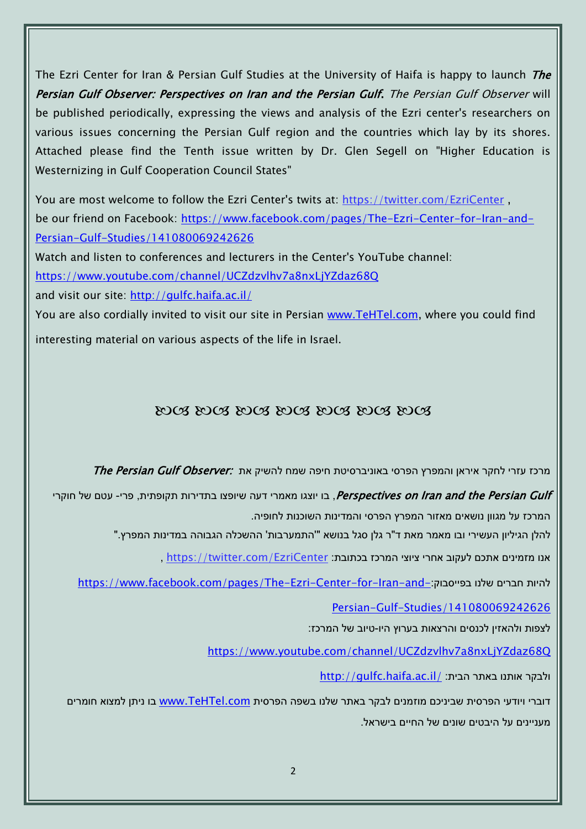The Ezri Center for Iran & Persian Gulf Studies at the University of Haifa is happy to launch The Persian Gulf Observer: Perspectives on Iran and the Persian Gulf. The Persian Gulf Observer will be published periodically, expressing the views and analysis of the Ezri center's researchers on various issues concerning the Persian Gulf region and the countries which lay by its shores. Attached please find the Tenth issue written by Dr. Glen Segell on "Higher Education is Westernizing in Gulf Cooperation Council States"

You are most welcome to follow the Ezri Center's twits at: <https://twitter.com/EzriCenter> , be our friend on Facebook: [https://www.facebook.com/pages/The-Ezri-Center-for-Iran-and-](https://www.facebook.com/pages/The-Ezri-Center-for-Iran-and-Persian-Gulf-Studies/141080069242626)[Persian-Gulf-Studies/141080069242626](https://www.facebook.com/pages/The-Ezri-Center-for-Iran-and-Persian-Gulf-Studies/141080069242626)

Watch and listen to conferences and lecturers in the Center's YouTube channel:

<https://www.youtube.com/channel/UCZdzvlhv7a8nxLjYZdaz68Q>

and visit our site:<http://gulfc.haifa.ac.il/>

You are also cordially invited to visit our site in Persian [www.TeHTel.com,](http://www.tehtel.com/) where you could find interesting material on various aspects of the life in Israel.

## DOG DOG DOG DOG DOG DOG DOG

תרכז עזרי לחקר איראן והמפרץ הפרסי באוניברסיטת חיפה שמח להשיק את :*The Persian Gulf Observer* 

Perspectives on Iran and the Persian Gulf, בו יוצגו מאמרי דעה שיופצו בתדירות תקופתית, פרי- עטם של חוקרי המרכז על מגוון נושאים מאזור המפרץ הפרסי והמדינות השוכנות לחופיה.

להלן הגיליון העשירי ובו מאמר מאת ד"ר גלן סגל בנושא "'התמערבות' ההשכלה הגבוהה במדינות המפרץ."

אנו מזמינים אתכם לעקוב אחרי ציוצי המרכז בכתובת: [EzriCenter/com.twitter://https](https://twitter.com/EzriCenter) ,

[https://www.facebook.com/pages/The-Ezri-Center-for-Iran-and-](https://www.facebook.com/pages/The-Ezri-Center-for-Iran-and-Persian-Gulf-Studies/141080069242626):כהיות חברים שלנו בפייסבוק

[Persian-Gulf-Studies/141080069242626](https://www.facebook.com/pages/The-Ezri-Center-for-Iran-and-Persian-Gulf-Studies/141080069242626)

לצפות ולהאזין לכנסים והרצאות בערוץ היו-טיוב של המרכז:

<https://www.youtube.com/channel/UCZdzvlhv7a8nxLjYZdaz68Q>

<http://gulfc.haifa.ac.il/> ולבקר אותנו באתר הבית

דוברי ויודעי הפרסית שביניכם מוזמנים לבקר באתר שלנו בשפה הפרסית [com.TeHTel.www](http://www.tehtel.com/) בו ניתן למצוא חומרים מעניינים על היבטים שונים של החיים בישראל.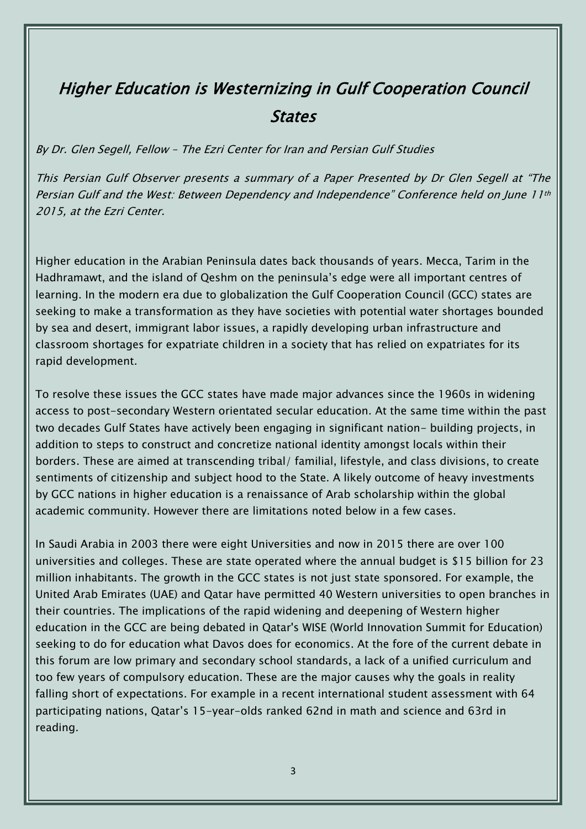## Higher Education is Westernizing in Gulf Cooperation Council **States**

By Dr. Glen Segell, Fellow – The Ezri Center for Iran and Persian Gulf Studies

This Persian Gulf Observer presents a summary of a Paper Presented by Dr Glen Segell at "The Persian Gulf and the West: Between Dependency and Independence" Conference held on June 11th 2015, at the Ezri Center.

Higher education in the Arabian Peninsula dates back thousands of years. Mecca, Tarim in the Hadhramawt, and the island of Qeshm on the peninsula's edge were all important centres of learning. In the modern era due to globalization the Gulf Cooperation Council (GCC) states are seeking to make a transformation as they have societies with potential water shortages bounded by sea and desert, immigrant labor issues, a rapidly developing urban infrastructure and classroom shortages for expatriate children in a society that has relied on expatriates for its rapid development.

To resolve these issues the GCC states have made major advances since the 1960s in widening access to post-secondary Western orientated secular education. At the same time within the past two decades Gulf States have actively been engaging in significant nation- building projects, in addition to steps to construct and concretize national identity amongst locals within their borders. These are aimed at transcending tribal/ familial, lifestyle, and class divisions, to create sentiments of citizenship and subject hood to the State. A likely outcome of heavy investments by GCC nations in higher education is a renaissance of Arab scholarship within the global academic community. However there are limitations noted below in a few cases.

In Saudi Arabia in 2003 there were eight Universities and now in 2015 there are over 100 universities and colleges. These are state operated where the annual budget is \$15 billion for 23 million inhabitants. The growth in the GCC states is not just state sponsored. For example, the United Arab Emirates (UAE) and Qatar have permitted 40 Western universities to open branches in their countries. The implications of the rapid widening and deepening of Western higher education in the GCC are being debated in Qatar's WISE (World Innovation Summit for Education) seeking to do for education what Davos does for economics. At the fore of the current debate in this forum are low primary and secondary school standards, a lack of a unified curriculum and too few years of compulsory education. These are the major causes why the goals in reality falling short of expectations. For example in a recent international student assessment with 64 participating nations, Qatar's 15-year-olds ranked 62nd in math and science and 63rd in reading.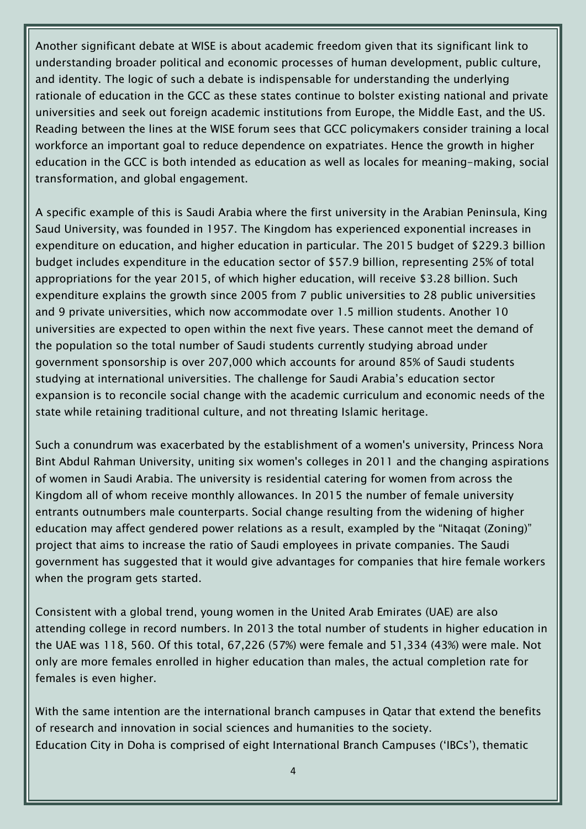Another significant debate at WISE is about academic freedom given that its significant link to understanding broader political and economic processes of human development, public culture, and identity. The logic of such a debate is indispensable for understanding the underlying rationale of education in the GCC as these states continue to bolster existing national and private universities and seek out foreign academic institutions from Europe, the Middle East, and the US. Reading between the lines at the WISE forum sees that GCC policymakers consider training a local workforce an important goal to reduce dependence on expatriates. Hence the growth in higher education in the GCC is both intended as education as well as locales for meaning-making, social transformation, and global engagement.

A specific example of this is Saudi Arabia where the first university in the Arabian Peninsula, King Saud University, was founded in 1957. The Kingdom has experienced exponential increases in expenditure on education, and higher education in particular. The 2015 budget of \$229.3 billion budget includes expenditure in the education sector of \$57.9 billion, representing 25% of total appropriations for the year 2015, of which higher education, will receive \$3.28 billion. Such expenditure explains the growth since 2005 from 7 public universities to 28 public universities and 9 private universities, which now accommodate over 1.5 million students. Another 10 universities are expected to open within the next five years. These cannot meet the demand of the population so the total number of Saudi students currently studying abroad under government sponsorship is over 207,000 which accounts for around 85% of Saudi students studying at international universities. The challenge for Saudi Arabia's education sector expansion is to reconcile social change with the academic curriculum and economic needs of the state while retaining traditional culture, and not threating Islamic heritage.

Such a conundrum was exacerbated by the establishment of a women's university, Princess Nora Bint Abdul Rahman University, uniting six women's colleges in 2011 and the changing aspirations of women in Saudi Arabia. The university is residential catering for women from across the Kingdom all of whom receive monthly allowances. In 2015 the number of female university entrants outnumbers male counterparts. Social change resulting from the widening of higher education may affect gendered power relations as a result, exampled by the "Nitaqat (Zoning)" project that aims to increase the ratio of Saudi employees in private companies. The Saudi government has suggested that it would give advantages for companies that hire female workers when the program gets started.

Consistent with a global trend, young women in the United Arab Emirates (UAE) are also attending college in record numbers. In 2013 the total number of students in higher education in the UAE was 118, 560. Of this total, 67,226 (57%) were female and 51,334 (43%) were male. Not only are more females enrolled in higher education than males, the actual completion rate for females is even higher.

With the same intention are the international branch campuses in Qatar that extend the benefits of research and innovation in social sciences and humanities to the society. Education City in Doha is comprised of eight International Branch Campuses ('IBCs'), thematic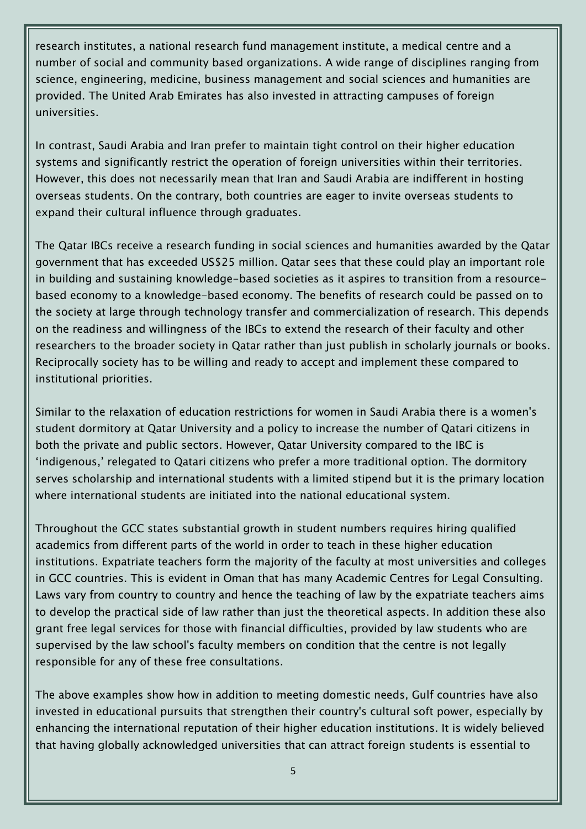research institutes, a national research fund management institute, a medical centre and a number of social and community based organizations. A wide range of disciplines ranging from science, engineering, medicine, business management and social sciences and humanities are provided. The United Arab Emirates has also invested in attracting campuses of foreign universities.

In contrast, Saudi Arabia and Iran prefer to maintain tight control on their higher education systems and significantly restrict the operation of foreign universities within their territories. However, this does not necessarily mean that Iran and Saudi Arabia are indifferent in hosting overseas students. On the contrary, both countries are eager to invite overseas students to expand their cultural influence through graduates.

The Qatar IBCs receive a research funding in social sciences and humanities awarded by the Qatar government that has exceeded US\$25 million. Qatar sees that these could play an important role in building and sustaining knowledge-based societies as it aspires to transition from a resourcebased economy to a knowledge-based economy. The benefits of research could be passed on to the society at large through technology transfer and commercialization of research. This depends on the readiness and willingness of the IBCs to extend the research of their faculty and other researchers to the broader society in Qatar rather than just publish in scholarly journals or books. Reciprocally society has to be willing and ready to accept and implement these compared to institutional priorities.

Similar to the relaxation of education restrictions for women in Saudi Arabia there is a women's student dormitory at Qatar University and a policy to increase the number of Qatari citizens in both the private and public sectors. However, Qatar University compared to the IBC is 'indigenous,' relegated to Qatari citizens who prefer a more traditional option. The dormitory serves scholarship and international students with a limited stipend but it is the primary location where international students are initiated into the national educational system.

Throughout the GCC states substantial growth in student numbers requires hiring qualified academics from different parts of the world in order to teach in these higher education institutions. Expatriate teachers form the majority of the faculty at most universities and colleges in GCC countries. This is evident in Oman that has many Academic Centres for Legal Consulting. Laws vary from country to country and hence the teaching of law by the expatriate teachers aims to develop the practical side of law rather than just the theoretical aspects. In addition these also grant free legal services for those with financial difficulties, provided by law students who are supervised by the law school's faculty members on condition that the centre is not legally responsible for any of these free consultations.

The above examples show how in addition to meeting domestic needs, Gulf countries have also invested in educational pursuits that strengthen their country's cultural soft power, especially by enhancing the international reputation of their higher education institutions. It is widely believed that having globally acknowledged universities that can attract foreign students is essential to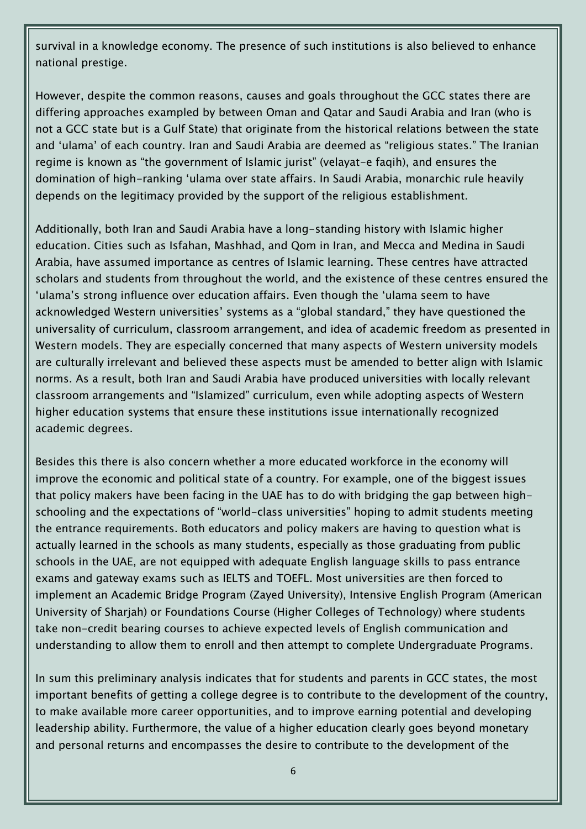survival in a knowledge economy. The presence of such institutions is also believed to enhance national prestige.

However, despite the common reasons, causes and goals throughout the GCC states there are differing approaches exampled by between Oman and Qatar and Saudi Arabia and Iran (who is not a GCC state but is a Gulf State) that originate from the historical relations between the state and 'ulama' of each country. Iran and Saudi Arabia are deemed as "religious states." The Iranian regime is known as "the government of Islamic jurist" (velayat-e faqih), and ensures the domination of high-ranking 'ulama over state affairs. In Saudi Arabia, monarchic rule heavily depends on the legitimacy provided by the support of the religious establishment.

Additionally, both Iran and Saudi Arabia have a long-standing history with Islamic higher education. Cities such as Isfahan, Mashhad, and Qom in Iran, and Mecca and Medina in Saudi Arabia, have assumed importance as centres of Islamic learning. These centres have attracted scholars and students from throughout the world, and the existence of these centres ensured the 'ulama's strong influence over education affairs. Even though the 'ulama seem to have acknowledged Western universities' systems as a "global standard," they have questioned the universality of curriculum, classroom arrangement, and idea of academic freedom as presented in Western models. They are especially concerned that many aspects of Western university models are culturally irrelevant and believed these aspects must be amended to better align with Islamic norms. As a result, both Iran and Saudi Arabia have produced universities with locally relevant classroom arrangements and "Islamized" curriculum, even while adopting aspects of Western higher education systems that ensure these institutions issue internationally recognized academic degrees.

Besides this there is also concern whether a more educated workforce in the economy will improve the economic and political state of a country. For example, one of the biggest issues that policy makers have been facing in the UAE has to do with bridging the gap between highschooling and the expectations of "world-class universities" hoping to admit students meeting the entrance requirements. Both educators and policy makers are having to question what is actually learned in the schools as many students, especially as those graduating from public schools in the UAE, are not equipped with adequate English language skills to pass entrance exams and gateway exams such as IELTS and TOEFL. Most universities are then forced to implement an Academic Bridge Program (Zayed University), Intensive English Program (American University of Sharjah) or Foundations Course (Higher Colleges of Technology) where students take non-credit bearing courses to achieve expected levels of English communication and understanding to allow them to enroll and then attempt to complete Undergraduate Programs.

In sum this preliminary analysis indicates that for students and parents in GCC states, the most important benefits of getting a college degree is to contribute to the development of the country, to make available more career opportunities, and to improve earning potential and developing leadership ability. Furthermore, the value of a higher education clearly goes beyond monetary and personal returns and encompasses the desire to contribute to the development of the